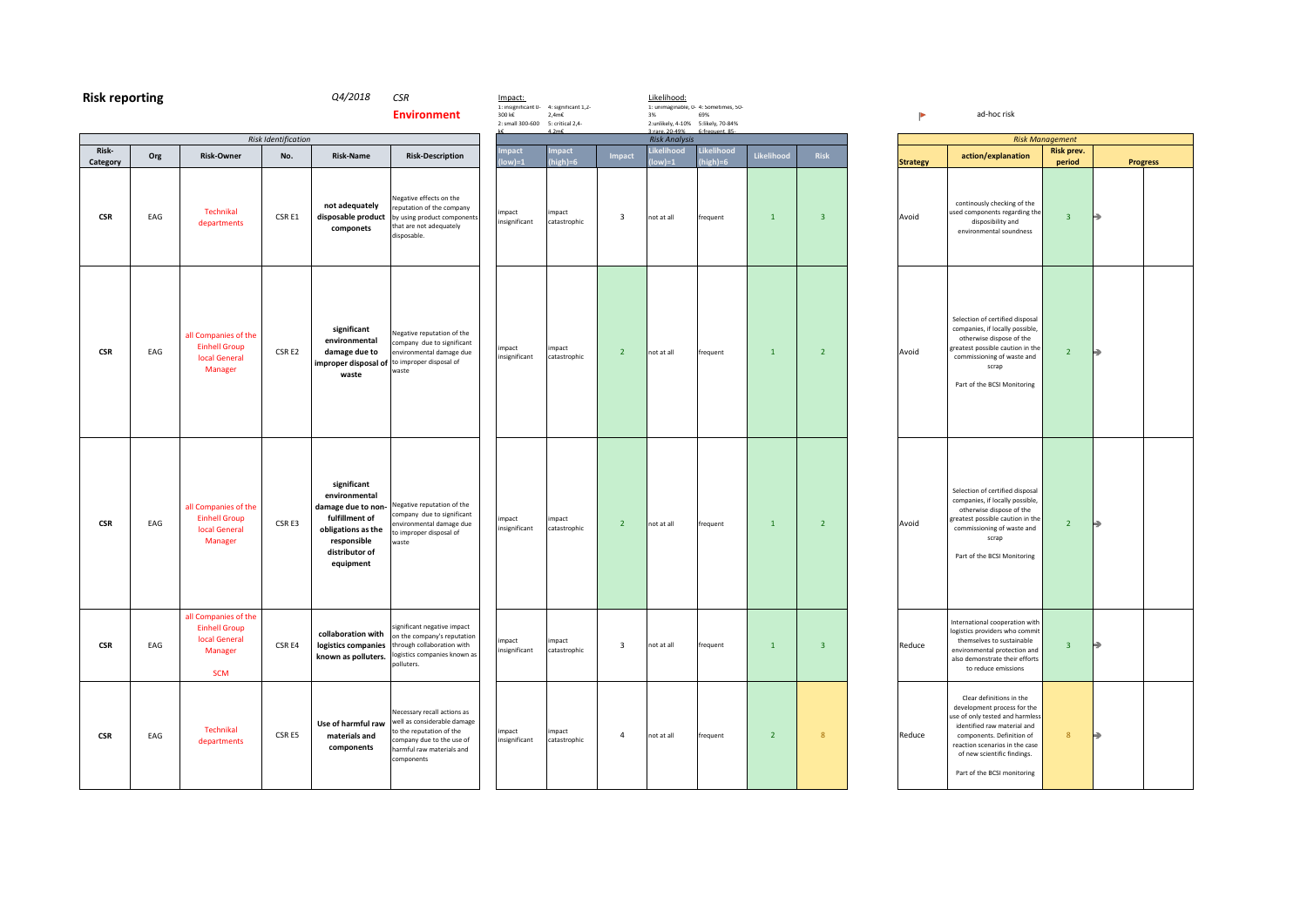| <b>Risk reporting</b> |     |                                                                                        |                            | Q4/2018                                                                                                                                  | CSR<br><b>Environment</b>                                                                                                                                      | Impact:<br>1: Insignificant U-<br>300 k€<br>2: small 300-600 | 4: significant 1,2-<br>$2,4m\in$<br>5: critical 2,4- |                         | Likelihood:<br>3%<br>2:unlikely, 4-10% 5:likely, 70-84% | 1: unimaginable, u- 4: sometimes, su-<br>69% |                |                         | P               | ad-hoc risk                                                                                                                                                                                 |
|-----------------------|-----|----------------------------------------------------------------------------------------|----------------------------|------------------------------------------------------------------------------------------------------------------------------------------|----------------------------------------------------------------------------------------------------------------------------------------------------------------|--------------------------------------------------------------|------------------------------------------------------|-------------------------|---------------------------------------------------------|----------------------------------------------|----------------|-------------------------|-----------------|---------------------------------------------------------------------------------------------------------------------------------------------------------------------------------------------|
|                       |     |                                                                                        | <b>Risk Identification</b> |                                                                                                                                          |                                                                                                                                                                |                                                              |                                                      |                         | <b>Risk Analysis</b>                                    |                                              |                |                         |                 |                                                                                                                                                                                             |
| Risk-                 |     |                                                                                        |                            |                                                                                                                                          |                                                                                                                                                                | mpact                                                        | mpact                                                |                         | Likelihood                                              | Likelihood                                   |                |                         |                 |                                                                                                                                                                                             |
| Category              | Org | <b>Risk-Owner</b>                                                                      | No.                        | <b>Risk-Name</b>                                                                                                                         | <b>Risk-Description</b>                                                                                                                                        | $low)=1$                                                     | $high=6$                                             | Impact                  | $ low =1$                                               | $high=6$                                     | Likelihood     | Risk                    | <b>Strategy</b> | action/explana                                                                                                                                                                              |
| <b>CSR</b>            | EAG | Technikal<br>departments                                                               | CSR E1                     | not adequately<br>disposable product<br>componets                                                                                        | legative effects on the<br>reputation of the company<br>by using product components<br>that are not adequately<br>disposable.                                  | impact<br>insignificant                                      | mpact<br>catastrophic                                | $\overline{\mathbf{3}}$ | not at all                                              | frequent                                     | $\mathbf{1}$   | $\overline{\mathbf{3}}$ | Avoid           | continously checking<br>used components rega<br>disposibility ar<br>environmental sour                                                                                                      |
| <b>CSR</b>            | EAG | all Companies of the<br><b>Einhell Group</b><br><b>local General</b><br>Manager        | CSR E2                     | significant<br>environmental<br>damage due to<br>improper disposal of<br>waste                                                           | legative reputation of the<br>company due to significant<br>environmental damage due<br>to improper disposal of<br>waste                                       | mpact<br>insignificant                                       | mpact<br>catastrophic                                | $\overline{2}$          | not at all                                              | frequent                                     | $\mathbf{1}$   | $\overline{2}$          | Avoid           | Selection of certified<br>companies, if locally<br>otherwise dispose<br>greatest possible caut<br>commissioning of wa<br>scrap<br>Part of the BCSI Mor                                      |
| <b>CSR</b>            | EAG | all Companies of the<br><b>Einhell Group</b><br><b>local General</b><br>Manager        | CSR E3                     | significant<br>environmental<br>damage due to non-<br>fulfillment of<br>obligations as the<br>responsible<br>distributor of<br>equipment | Negative reputation of the<br>company due to significant<br>nvironmental damage due<br>o improper disposal of<br>waste                                         | impact<br>insignificant                                      | mpact<br>catastrophic                                | $\overline{2}$          | not at all                                              | frequent                                     | $\mathbf{1}$   | $\overline{2}$          | Avoid           | Selection of certified<br>companies, if locally<br>otherwise dispose<br>greatest possible caut<br>commissioning of wa<br>scrap<br>Part of the BCSI Mor                                      |
| <b>CSR</b>            | EAG | all Companies of the<br><b>Einhell Group</b><br>local General<br>Manager<br><b>SCM</b> | CSR E4                     | collaboration with<br>logistics companies<br>known as polluters.                                                                         | ignificant negative impact<br>on the company's reputation<br>through collaboration with<br>logistics companies known as<br>polluters.                          | impact<br>insignificant                                      | mpact<br>catastrophic                                | $\overline{3}$          | not at all                                              | frequent                                     | $\mathbf{1}$   | $\overline{3}$          | Reduce          | International coopera<br>logistics providers whe<br>themselves to susta<br>environmental protec<br>also demonstrate the<br>to reduce emissi                                                 |
| <b>CSR</b>            | EAG | Technikal<br>departments                                                               | CSR E5                     | Use of harmful raw<br>materials and<br>components                                                                                        | Necessary recall actions as<br>well as considerable damage<br>to the reputation of the<br>company due to the use of<br>harmful raw materials and<br>components | impact<br>insignificant                                      | mpact<br>catastrophic                                | $\overline{4}$          | not at all                                              | frequent                                     | $\overline{2}$ | $\boldsymbol{8}$        | Reduce          | Clear definitions i<br>development proces:<br>use of only tested and<br>identified raw mate<br>components. Defini<br>reaction scenarios in<br>of new scientific fir<br>Part of the BCSI mor |

| <b>Risk Management</b> |                                                                                                                                                                                                                                                        |                |                 |  |  |  |  |  |  |  |
|------------------------|--------------------------------------------------------------------------------------------------------------------------------------------------------------------------------------------------------------------------------------------------------|----------------|-----------------|--|--|--|--|--|--|--|
|                        | action/explanation                                                                                                                                                                                                                                     | Risk prev.     |                 |  |  |  |  |  |  |  |
| <b>Strategy</b>        |                                                                                                                                                                                                                                                        | period         | <b>Progress</b> |  |  |  |  |  |  |  |
| Avoid                  | continously checking of the<br>used components regarding the<br>disposibility and<br>environmental soundness                                                                                                                                           | $\overline{3}$ | ⇛               |  |  |  |  |  |  |  |
| Avoid                  | Selection of certified disposal<br>companies, if locally possible,<br>otherwise dispose of the<br>greatest possible caution in the<br>commissioning of waste and<br>scrap<br>Part of the BCSI Monitoring                                               | $\overline{2}$ | Ð               |  |  |  |  |  |  |  |
| Avoid                  | Selection of certified disposal<br>companies, if locally possible,<br>otherwise dispose of the<br>greatest possible caution in the<br>commissioning of waste and<br>scrap<br>Part of the BCSI Monitoring                                               | $\overline{2}$ | a               |  |  |  |  |  |  |  |
| Reduce                 | International cooperation with<br>logistics providers who commit<br>themselves to sustainable<br>environmental protection and<br>also demonstrate their efforts<br>to reduce emissions                                                                 | 3              | ∍               |  |  |  |  |  |  |  |
| Reduce                 | Clear definitions in the<br>development process for the<br>use of only tested and harmless<br>identified raw material and<br>components. Definition of<br>reaction scenarios in the case<br>of new scientific findings.<br>Part of the BCSI monitoring | 8              | Ð               |  |  |  |  |  |  |  |